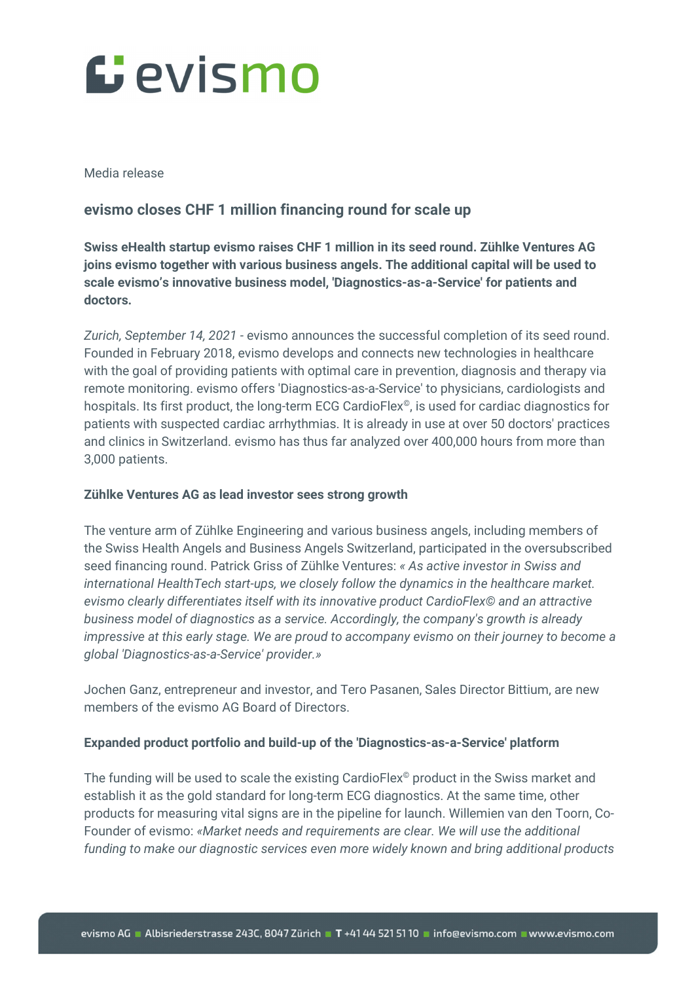# Gevismo

Media release

### **evismo closes CHF 1 million financing round for scale up**

**Swiss eHealth startup evismo raises CHF 1 million in its seed round. Zühlke Ventures AG joins evismo together with various business angels. The additional capital will be used to scale evismo's innovative business model, 'Diagnostics-as-a-Service' for patients and doctors.** 

*Zurich, September 14, 2021 -* evismo announces the successful completion of its seed round. Founded in February 2018, evismo develops and connects new technologies in healthcare with the goal of providing patients with optimal care in prevention, diagnosis and therapy via remote monitoring. evismo offers 'Diagnostics-as-a-Service' to physicians, cardiologists and hospitals. Its first product, the long-term ECG CardioFlex<sup>®</sup>, is used for cardiac diagnostics for patients with suspected cardiac arrhythmias. It is already in use at over 50 doctors' practices and clinics in Switzerland. evismo has thus far analyzed over 400,000 hours from more than 3,000 patients.

#### **Zühlke Ventures AG as lead investor sees strong growth**

The venture arm of Zühlke Engineering and various business angels, including members of the Swiss Health Angels and Business Angels Switzerland, participated in the oversubscribed seed financing round. Patrick Griss of Zühlke Ventures: *« As active investor in Swiss and international HealthTech start-ups, we closely follow the dynamics in the healthcare market. evismo clearly differentiates itself with its innovative product CardioFlex© and an attractive business model of diagnostics as a service. Accordingly, the company's growth is already impressive at this early stage. We are proud to accompany evismo on their journey to become a global 'Diagnostics-as-a-Service' provider.»* 

Jochen Ganz, entrepreneur and investor, and Tero Pasanen, Sales Director Bittium, are new members of the evismo AG Board of Directors.

#### **Expanded product portfolio and build-up of the 'Diagnostics-as-a-Service' platform**

The funding will be used to scale the existing CardioFlex<sup>®</sup> product in the Swiss market and establish it as the gold standard for long-term ECG diagnostics. At the same time, other products for measuring vital signs are in the pipeline for launch. Willemien van den Toorn, Co-Founder of evismo: *«Market needs and requirements are clear. We will use the additional funding to make our diagnostic services even more widely known and bring additional products*